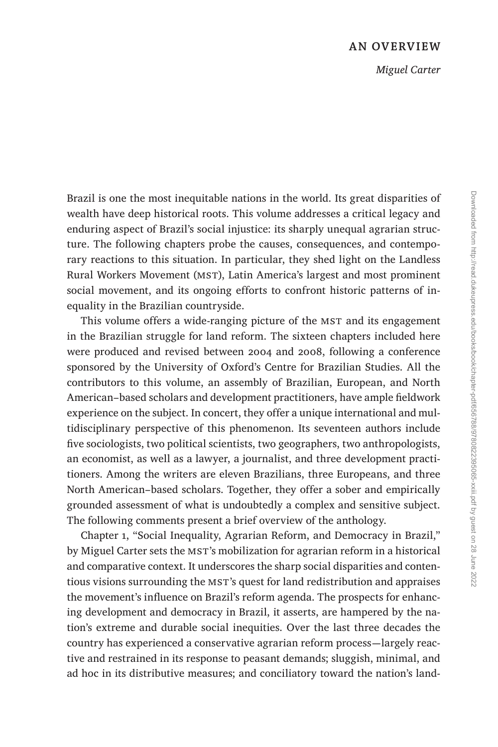*Miguel Carter*

Brazil is one the most inequitable nations in the world. Its great disparities of wealth have deep historical roots. This volume addresses a critical legacy and enduring aspect of Brazil's social injustice: its sharply unequal agrarian structure. The following chapters probe the causes, consequences, and contemporary reactions to this situation. In particular, they shed light on the Landless Rural Workers Movement (MST), Latin America's largest and most prominent social movement, and its ongoing efforts to confront historic patterns of inequality in the Brazilian countryside.

This volume offers a wide-ranging picture of the MST and its engagement in the Brazilian struggle for land reform. The sixteen chapters included here were produced and revised between 2004 and 2008, following a conference sponsored by the University of Oxford's Centre for Brazilian Studies. All the contributors to this volume, an assembly of Brazilian, European, and North American–based scholars and development practitioners, have ample fieldwork experience on the subject. In concert, they offer a unique international and multidisciplinary perspective of this phenomenon. Its seventeen authors include five sociologists, two political scientists, two geographers, two anthropologists, an economist, as well as a lawyer, a journalist, and three development practitioners. Among the writers are eleven Brazilians, three Europeans, and three North American–based scholars. Together, they offer a sober and empirically grounded assessment of what is undoubtedly a complex and sensitive subject. The following comments present a brief overview of the anthology.

Chapter 1, "Social Inequality, Agrarian Reform, and Democracy in Brazil," by Miguel Carter sets the MST's mobilization for agrarian reform in a historical and comparative context. It underscores the sharp social disparities and contentious visions surrounding the MST's quest for land redistribution and appraises the movement's influence on Brazil's reform agenda. The prospects for enhancing development and democracy in Brazil, it asserts, are hampered by the nation's extreme and durable social inequities. Over the last three decades the country has experienced a conservative agrarian reform process—largely reactive and restrained in its response to peasant demands; sluggish, minimal, and ad hoc in its distributive measures; and conciliatory toward the nation's land-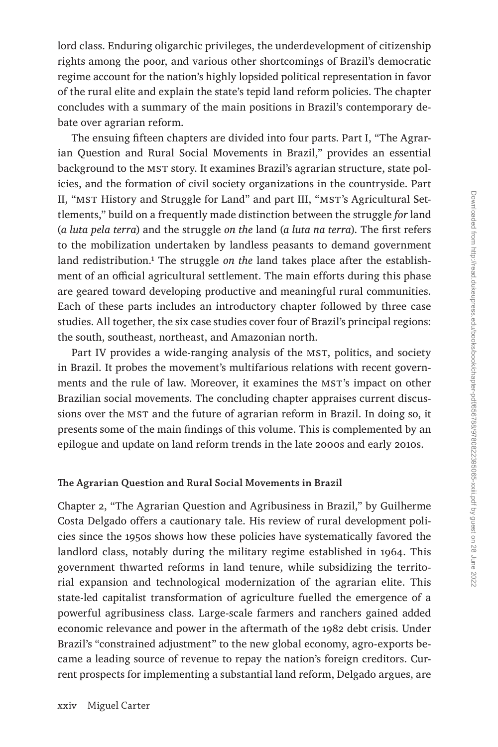lord class. Enduring oligarchic privileges, the underdevelopment of citizenship rights among the poor, and various other shortcomings of Brazil's democratic regime account for the nation's highly lopsided political representation in favor of the rural elite and explain the state's tepid land reform policies. The chapter concludes with a summary of the main positions in Brazil's contemporary debate over agrarian reform.

The ensuing fifteen chapters are divided into four parts. Part I, "The Agrarian Question and Rural Social Movements in Brazil," provides an essential background to the mst story. It examines Brazil's agrarian structure, state policies, and the formation of civil society organizations in the countryside. Part II, "MST History and Struggle for Land" and part III, "MST's Agricultural Settlements," build on a frequently made distinction between the struggle *for* land (*a luta pela terra*) and the struggle *on the* land (*a luta na terra*). The first refers to the mobilization undertaken by landless peasants to demand government land redistribution.<sup>1</sup> The struggle *on the* land takes place after the establishment of an official agricultural settlement. The main efforts during this phase are geared toward developing productive and meaningful rural communities. Each of these parts includes an introductory chapter followed by three case studies. All together, the six case studies cover four of Brazil's principal regions: the south, southeast, northeast, and Amazonian north.

Part IV provides a wide-ranging analysis of the MST, politics, and society in Brazil. It probes the movement's multifarious relations with recent governments and the rule of law. Moreover, it examines the MST's impact on other Brazilian social movements. The concluding chapter appraises current discussions over the MST and the future of agrarian reform in Brazil. In doing so, it presents some of the main findings of this volume. This is complemented by an epilogue and update on land reform trends in the late 2000s and early 2010s.

### **The Agrarian Question and Rural Social Movements in Brazil**

Chapter 2, "The Agrarian Question and Agribusiness in Brazil," by Guilherme Costa Delgado offers a cautionary tale. His review of rural development policies since the 1950s shows how these policies have systematically favored the landlord class, notably during the military regime established in 1964. This government thwarted reforms in land tenure, while subsidizing the territorial expansion and technological modernization of the agrarian elite. This state-led capitalist transformation of agriculture fuelled the emergence of a powerful agribusiness class. Large-scale farmers and ranchers gained added economic relevance and power in the aftermath of the 1982 debt crisis. Under Brazil's "constrained adjustment" to the new global economy, agro-exports became a leading source of revenue to repay the nation's foreign creditors. Current prospects for implementing a substantial land reform, Delgado argues, are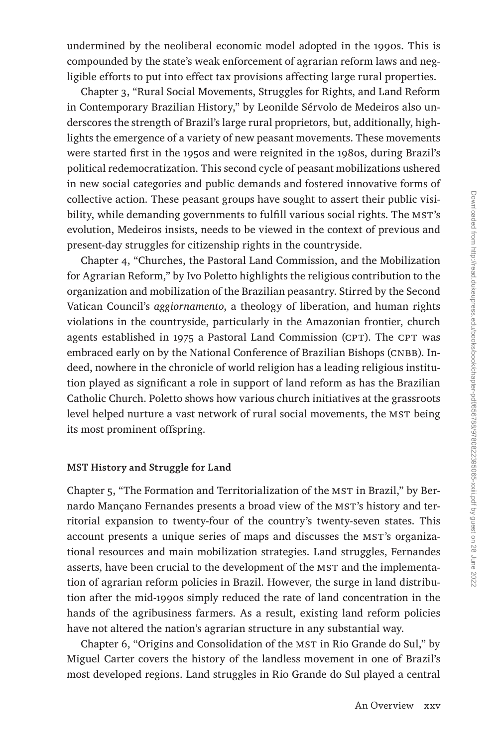undermined by the neoliberal economic model adopted in the 1990s. This is compounded by the state's weak enforcement of agrarian reform laws and negligible efforts to put into effect tax provisions affecting large rural properties.

Chapter 3, "Rural Social Movements, Struggles for Rights, and Land Reform in Contemporary Brazilian History," by Leonilde Sérvolo de Medeiros also underscores the strength of Brazil's large rural proprietors, but, additionally, highlights the emergence of a variety of new peasant movements. These movements were started first in the 1950s and were reignited in the 1980s, during Brazil's political redemocratization. This second cycle of peasant mobilizations ushered in new social categories and public demands and fostered innovative forms of collective action. These peasant groups have sought to assert their public visibility, while demanding governments to fulfill various social rights. The MST's evolution, Medeiros insists, needs to be viewed in the context of previous and present-day struggles for citizenship rights in the countryside.

Chapter 4, "Churches, the Pastoral Land Commission, and the Mobilization for Agrarian Reform," by Ivo Poletto highlights the religious contribution to the organization and mobilization of the Brazilian peasantry. Stirred by the Second Vatican Council's *aggiornamento*, a theology of liberation, and human rights violations in the countryside, particularly in the Amazonian frontier, church agents established in 1975 a Pastoral Land Commission (CPT). The CPT was embraced early on by the National Conference of Brazilian Bishops (CNBB). Indeed, nowhere in the chronicle of world religion has a leading religious institution played as significant a role in support of land reform as has the Brazilian Catholic Church. Poletto shows how various church initiatives at the grassroots level helped nurture a vast network of rural social movements, the MST being its most prominent offspring.

# **MST History and Struggle for Land**

Chapter 5, "The Formation and Territorialization of the MST in Brazil," by Bernardo Mançano Fernandes presents a broad view of the MST's history and territorial expansion to twenty-four of the country's twenty-seven states. This account presents a unique series of maps and discusses the MST's organizational resources and main mobilization strategies. Land struggles, Fernandes asserts, have been crucial to the development of the MST and the implementation of agrarian reform policies in Brazil. However, the surge in land distribution after the mid-1990s simply reduced the rate of land concentration in the hands of the agribusiness farmers. As a result, existing land reform policies have not altered the nation's agrarian structure in any substantial way.

Chapter 6, "Origins and Consolidation of the MST in Rio Grande do Sul," by Miguel Carter covers the history of the landless movement in one of Brazil's most developed regions. Land struggles in Rio Grande do Sul played a central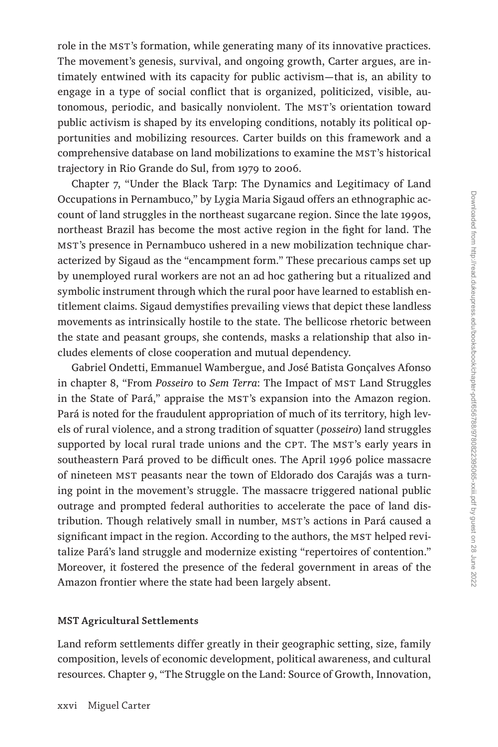role in the MST's formation, while generating many of its innovative practices. The movement's genesis, survival, and ongoing growth, Carter argues, are intimately entwined with its capacity for public activism—that is, an ability to engage in a type of social conflict that is organized, politicized, visible, autonomous, periodic, and basically nonviolent. The MST's orientation toward public activism is shaped by its enveloping conditions, notably its political opportunities and mobilizing resources. Carter builds on this framework and a comprehensive database on land mobilizations to examine the MST's historical trajectory in Rio Grande do Sul, from 1979 to 2006.

Chapter 7, "Under the Black Tarp: The Dynamics and Legitimacy of Land Occupations in Pernambuco," by Lygia Maria Sigaud offers an ethnographic account of land struggles in the northeast sugarcane region. Since the late 1990s, northeast Brazil has become the most active region in the fight for land. The mst's presence in Pernambuco ushered in a new mobilization technique characterized by Sigaud as the "encampment form." These precarious camps set up by unemployed rural workers are not an ad hoc gathering but a ritualized and symbolic instrument through which the rural poor have learned to establish entitlement claims. Sigaud demystifies prevailing views that depict these landless movements as intrinsically hostile to the state. The bellicose rhetoric between the state and peasant groups, she contends, masks a relationship that also includes elements of close cooperation and mutual dependency.

Gabriel Ondetti, Emmanuel Wambergue, and José Batista Gonçalves Afonso in chapter 8, "From *Posseiro* to *Sem Terra*: The Impact of MST Land Struggles in the State of Pará," appraise the MST's expansion into the Amazon region. Pará is noted for the fraudulent appropriation of much of its territory, high levels of rural violence, and a strong tradition of squatter (*posseiro*) land struggles supported by local rural trade unions and the CPT. The MST's early years in southeastern Pará proved to be difficult ones. The April 1996 police massacre of nineteen mst peasants near the town of Eldorado dos Carajás was a turning point in the movement's struggle. The massacre triggered national public outrage and prompted federal authorities to accelerate the pace of land distribution. Though relatively small in number, MST's actions in Pará caused a significant impact in the region. According to the authors, the MST helped revitalize Pará's land struggle and modernize existing "repertoires of contention." Moreover, it fostered the presence of the federal government in areas of the Amazon frontier where the state had been largely absent.

## **MST Agricultural Settlements**

Land reform settlements differ greatly in their geographic setting, size, family composition, levels of economic development, political awareness, and cultural resources. Chapter 9, "The Struggle on the Land: Source of Growth, Innovation,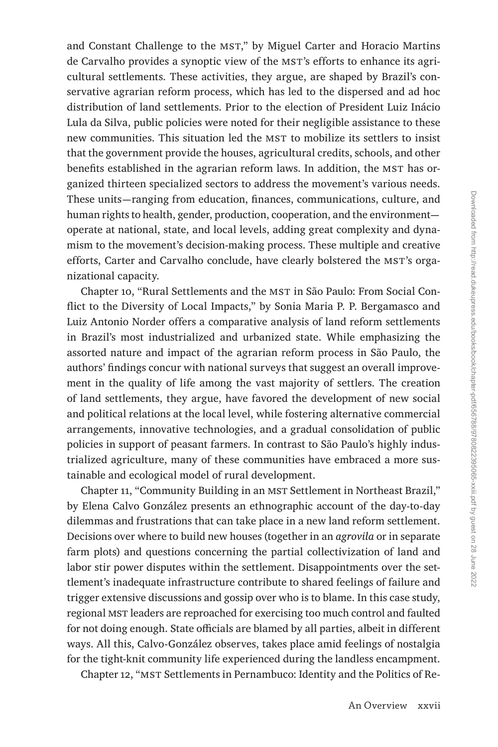and Constant Challenge to the MST," by Miguel Carter and Horacio Martins de Carvalho provides a synoptic view of the MST's efforts to enhance its agricultural settlements. These activities, they argue, are shaped by Brazil's conservative agrarian reform process, which has led to the dispersed and ad hoc distribution of land settlements. Prior to the election of President Luiz Inácio Lula da Silva, public policies were noted for their negligible assistance to these new communities. This situation led the MST to mobilize its settlers to insist that the government provide the houses, agricultural credits, schools, and other benefits established in the agrarian reform laws. In addition, the MST has organized thirteen specialized sectors to address the movement's various needs. These units—ranging from education, finances, communications, culture, and human rights to health, gender, production, cooperation, and the environment operate at national, state, and local levels, adding great complexity and dynamism to the movement's decision-making process. These multiple and creative efforts, Carter and Carvalho conclude, have clearly bolstered the MST's organizational capacity.

Chapter 10, "Rural Settlements and the MST in São Paulo: From Social Conflict to the Diversity of Local Impacts," by Sonia Maria P. P. Bergamasco and Luiz Antonio Norder offers a comparative analysis of land reform settlements in Brazil's most industrialized and urbanized state. While emphasizing the assorted nature and impact of the agrarian reform process in São Paulo, the authors' findings concur with national surveys that suggest an overall improvement in the quality of life among the vast majority of settlers. The creation of land settlements, they argue, have favored the development of new social and political relations at the local level, while fostering alternative commercial arrangements, innovative technologies, and a gradual consolidation of public policies in support of peasant farmers. In contrast to São Paulo's highly industrialized agriculture, many of these communities have embraced a more sustainable and ecological model of rural development.

Chapter 11, "Community Building in an MST Settlement in Northeast Brazil," by Elena Calvo González presents an ethnographic account of the day-to-day dilemmas and frustrations that can take place in a new land reform settlement. Decisions over where to build new houses (together in an *agrovila* or in separate farm plots) and questions concerning the partial collectivization of land and labor stir power disputes within the settlement. Disappointments over the settlement's inadequate infrastructure contribute to shared feelings of failure and trigger extensive discussions and gossip over who is to blame. In this case study, regional mst leaders are reproached for exercising too much control and faulted for not doing enough. State officials are blamed by all parties, albeit in different ways. All this, Calvo-González observes, takes place amid feelings of nostalgia for the tight-knit community life experienced during the landless encampment.

Chapter 12, "mst Settlements in Pernambuco: Identity and the Politics of Re-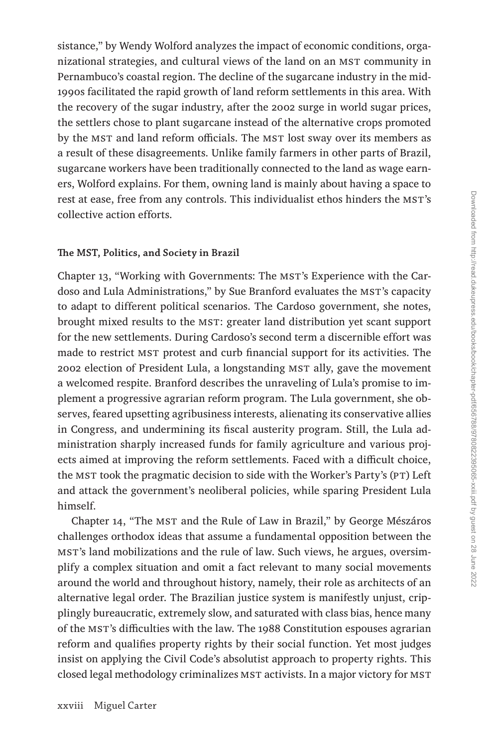sistance," by Wendy Wolford analyzes the impact of economic conditions, organizational strategies, and cultural views of the land on an MST community in Pernambuco's coastal region. The decline of the sugarcane industry in the mid-1990s facilitated the rapid growth of land reform settlements in this area. With the recovery of the sugar industry, after the 2002 surge in world sugar prices, the settlers chose to plant sugarcane instead of the alternative crops promoted by the MST and land reform officials. The MST lost sway over its members as a result of these disagreements. Unlike family farmers in other parts of Brazil, sugarcane workers have been traditionally connected to the land as wage earners, Wolford explains. For them, owning land is mainly about having a space to rest at ease, free from any controls. This individualist ethos hinders the MST's collective action efforts.

### **The MST, Politics, and Society in Brazil**

Chapter 13, "Working with Governments: The MST's Experience with the Cardoso and Lula Administrations," by Sue Branford evaluates the MST's capacity to adapt to different political scenarios. The Cardoso government, she notes, brought mixed results to the mst: greater land distribution yet scant support for the new settlements. During Cardoso's second term a discernible effort was made to restrict mst protest and curb financial support for its activities. The 2002 election of President Lula, a longstanding MST ally, gave the movement a welcomed respite. Branford describes the unraveling of Lula's promise to implement a progressive agrarian reform program. The Lula government, she observes, feared upsetting agribusiness interests, alienating its conservative allies in Congress, and undermining its fiscal austerity program. Still, the Lula administration sharply increased funds for family agriculture and various projects aimed at improving the reform settlements. Faced with a difficult choice, the MST took the pragmatic decision to side with the Worker's Party's (PT) Left and attack the government's neoliberal policies, while sparing President Lula himself.

Chapter 14, "The MST and the Rule of Law in Brazil," by George Mészáros challenges orthodox ideas that assume a fundamental opposition between the mst's land mobilizations and the rule of law. Such views, he argues, oversimplify a complex situation and omit a fact relevant to many social movements around the world and throughout history, namely, their role as architects of an alternative legal order. The Brazilian justice system is manifestly unjust, cripplingly bureaucratic, extremely slow, and saturated with class bias, hence many of the mst's difficulties with the law. The 1988 Constitution espouses agrarian reform and qualifies property rights by their social function. Yet most judges insist on applying the Civil Code's absolutist approach to property rights. This closed legal methodology criminalizes MST activists. In a major victory for MST